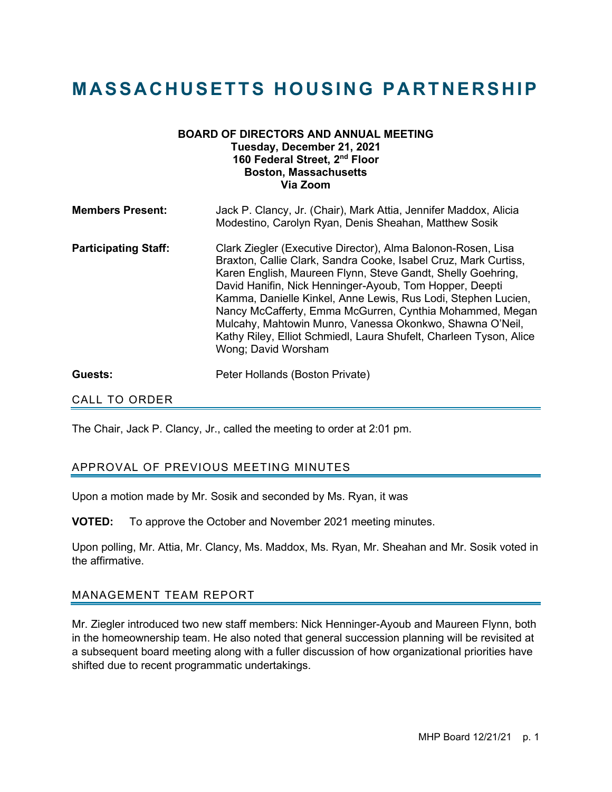# **MASSACHUSETTS HOUSING PARTNERSHIP**

## **BOARD OF DIRECTORS AND ANNUAL MEETING Tuesday, December 21, 2021 160 Federal Street, 2nd Floor Boston, Massachusetts Via Zoom**

| <b>Members Present:</b>     | Jack P. Clancy, Jr. (Chair), Mark Attia, Jennifer Maddox, Alicia<br>Modestino, Carolyn Ryan, Denis Sheahan, Matthew Sosik                                                                                                                                                                                                                                                                                                                                                                                                                       |
|-----------------------------|-------------------------------------------------------------------------------------------------------------------------------------------------------------------------------------------------------------------------------------------------------------------------------------------------------------------------------------------------------------------------------------------------------------------------------------------------------------------------------------------------------------------------------------------------|
| <b>Participating Staff:</b> | Clark Ziegler (Executive Director), Alma Balonon-Rosen, Lisa<br>Braxton, Callie Clark, Sandra Cooke, Isabel Cruz, Mark Curtiss,<br>Karen English, Maureen Flynn, Steve Gandt, Shelly Goehring,<br>David Hanifin, Nick Henninger-Ayoub, Tom Hopper, Deepti<br>Kamma, Danielle Kinkel, Anne Lewis, Rus Lodi, Stephen Lucien,<br>Nancy McCafferty, Emma McGurren, Cynthia Mohammed, Megan<br>Mulcahy, Mahtowin Munro, Vanessa Okonkwo, Shawna O'Neil,<br>Kathy Riley, Elliot Schmiedl, Laura Shufelt, Charleen Tyson, Alice<br>Wong; David Worsham |
| Guests:                     | Peter Hollands (Boston Private)                                                                                                                                                                                                                                                                                                                                                                                                                                                                                                                 |

## CALL TO ORDER

The Chair, Jack P. Clancy, Jr., called the meeting to order at 2:01 pm.

## APPROVAL OF PREVIOUS MEETING MINUTES

Upon a motion made by Mr. Sosik and seconded by Ms. Ryan, it was

**VOTED:** To approve the October and November 2021 meeting minutes.

Upon polling, Mr. Attia, Mr. Clancy, Ms. Maddox, Ms. Ryan, Mr. Sheahan and Mr. Sosik voted in the affirmative.

#### MANAGEMENT TEAM REPORT

Mr. Ziegler introduced two new staff members: Nick Henninger-Ayoub and Maureen Flynn, both in the homeownership team. He also noted that general succession planning will be revisited at a subsequent board meeting along with a fuller discussion of how organizational priorities have shifted due to recent programmatic undertakings.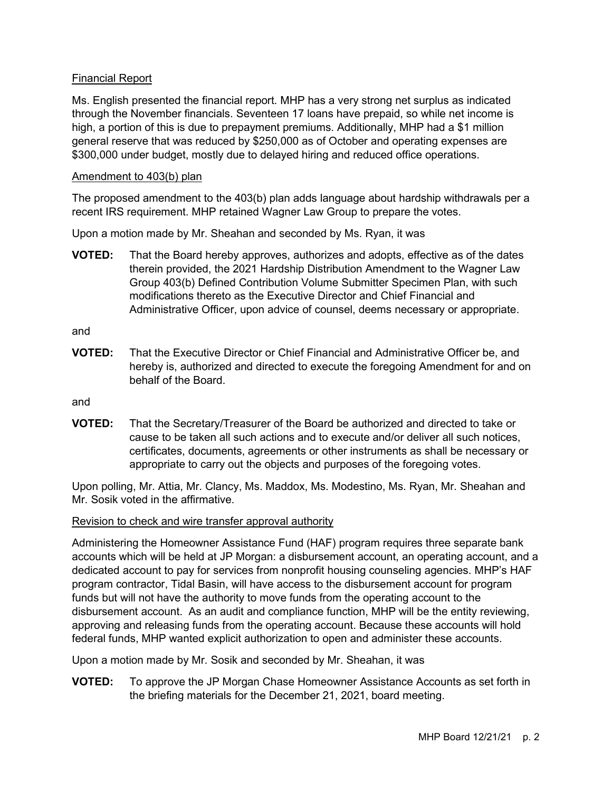## Financial Report

Ms. English presented the financial report. MHP has a very strong net surplus as indicated through the November financials. Seventeen 17 loans have prepaid, so while net income is high, a portion of this is due to prepayment premiums. Additionally, MHP had a \$1 million general reserve that was reduced by \$250,000 as of October and operating expenses are \$300,000 under budget, mostly due to delayed hiring and reduced office operations.

#### Amendment to 403(b) plan

The proposed amendment to the 403(b) plan adds language about hardship withdrawals per a recent IRS requirement. MHP retained Wagner Law Group to prepare the votes.

Upon a motion made by Mr. Sheahan and seconded by Ms. Ryan, it was

**VOTED:** That the Board hereby approves, authorizes and adopts, effective as of the dates therein provided, the 2021 Hardship Distribution Amendment to the Wagner Law Group 403(b) Defined Contribution Volume Submitter Specimen Plan, with such modifications thereto as the Executive Director and Chief Financial and Administrative Officer, upon advice of counsel, deems necessary or appropriate.

and

**VOTED:** That the Executive Director or Chief Financial and Administrative Officer be, and hereby is, authorized and directed to execute the foregoing Amendment for and on behalf of the Board.

and

**VOTED:** That the Secretary/Treasurer of the Board be authorized and directed to take or cause to be taken all such actions and to execute and/or deliver all such notices, certificates, documents, agreements or other instruments as shall be necessary or appropriate to carry out the objects and purposes of the foregoing votes.

Upon polling, Mr. Attia, Mr. Clancy, Ms. Maddox, Ms. Modestino, Ms. Ryan, Mr. Sheahan and Mr. Sosik voted in the affirmative.

#### Revision to check and wire transfer approval authority

Administering the Homeowner Assistance Fund (HAF) program requires three separate bank accounts which will be held at JP Morgan: a disbursement account, an operating account, and a dedicated account to pay for services from nonprofit housing counseling agencies. MHP's HAF program contractor, Tidal Basin, will have access to the disbursement account for program funds but will not have the authority to move funds from the operating account to the disbursement account. As an audit and compliance function, MHP will be the entity reviewing, approving and releasing funds from the operating account. Because these accounts will hold federal funds, MHP wanted explicit authorization to open and administer these accounts.

Upon a motion made by Mr. Sosik and seconded by Mr. Sheahan, it was

**VOTED:** To approve the JP Morgan Chase Homeowner Assistance Accounts as set forth in the briefing materials for the December 21, 2021, board meeting.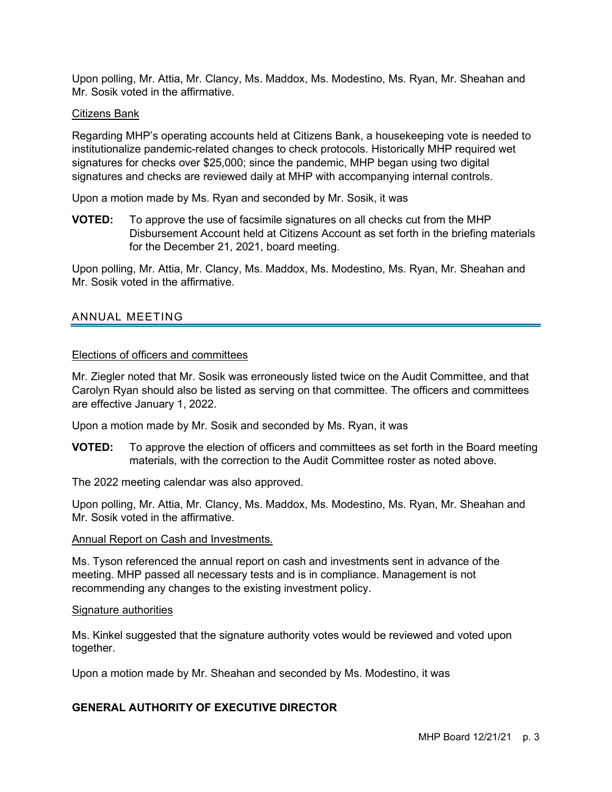Upon polling, Mr. Attia, Mr. Clancy, Ms. Maddox, Ms. Modestino, Ms. Ryan, Mr. Sheahan and Mr. Sosik voted in the affirmative.

#### Citizens Bank

Regarding MHP's operating accounts held at Citizens Bank, a housekeeping vote is needed to institutionalize pandemic-related changes to check protocols. Historically MHP required wet signatures for checks over \$25,000; since the pandemic, MHP began using two digital signatures and checks are reviewed daily at MHP with accompanying internal controls.

Upon a motion made by Ms. Ryan and seconded by Mr. Sosik, it was

**VOTED:** To approve the use of facsimile signatures on all checks cut from the MHP Disbursement Account held at Citizens Account as set forth in the briefing materials for the December 21, 2021, board meeting.

Upon polling, Mr. Attia, Mr. Clancy, Ms. Maddox, Ms. Modestino, Ms. Ryan, Mr. Sheahan and Mr. Sosik voted in the affirmative.

# ANNUAL MEETING

#### Elections of officers and committees

Mr. Ziegler noted that Mr. Sosik was erroneously listed twice on the Audit Committee, and that Carolyn Ryan should also be listed as serving on that committee. The officers and committees are effective January 1, 2022.

Upon a motion made by Mr. Sosik and seconded by Ms. Ryan, it was

**VOTED:** To approve the election of officers and committees as set forth in the Board meeting materials, with the correction to the Audit Committee roster as noted above.

The 2022 meeting calendar was also approved.

Upon polling, Mr. Attia, Mr. Clancy, Ms. Maddox, Ms. Modestino, Ms. Ryan, Mr. Sheahan and Mr. Sosik voted in the affirmative.

#### Annual Report on Cash and Investments.

Ms. Tyson referenced the annual report on cash and investments sent in advance of the meeting. MHP passed all necessary tests and is in compliance. Management is not recommending any changes to the existing investment policy.

#### Signature authorities

Ms. Kinkel suggested that the signature authority votes would be reviewed and voted upon together.

Upon a motion made by Mr. Sheahan and seconded by Ms. Modestino, it was

# **GENERAL AUTHORITY OF EXECUTIVE DIRECTOR**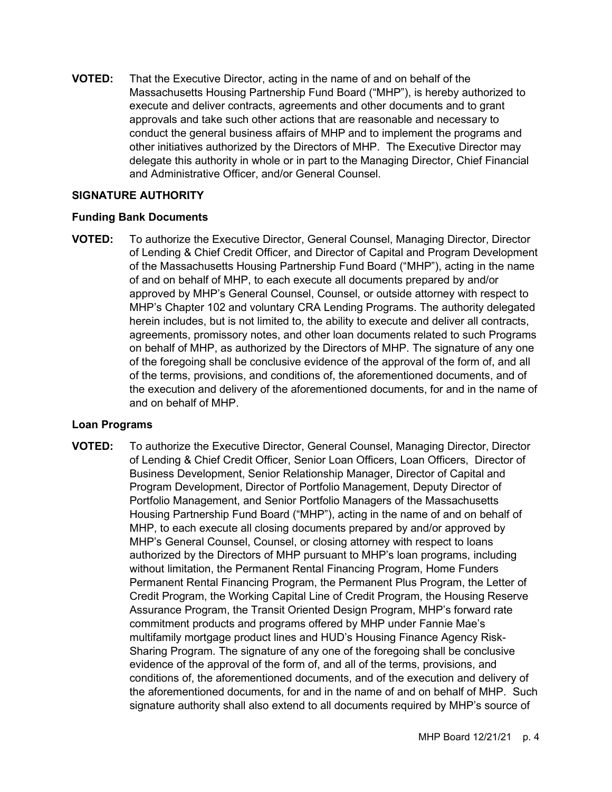**VOTED:** That the Executive Director, acting in the name of and on behalf of the Massachusetts Housing Partnership Fund Board ("MHP"), is hereby authorized to execute and deliver contracts, agreements and other documents and to grant approvals and take such other actions that are reasonable and necessary to conduct the general business affairs of MHP and to implement the programs and other initiatives authorized by the Directors of MHP. The Executive Director may delegate this authority in whole or in part to the Managing Director, Chief Financial and Administrative Officer, and/or General Counsel.

## **SIGNATURE AUTHORITY**

#### **Funding Bank Documents**

**VOTED:** To authorize the Executive Director, General Counsel, Managing Director, Director of Lending & Chief Credit Officer, and Director of Capital and Program Development of the Massachusetts Housing Partnership Fund Board ("MHP"), acting in the name of and on behalf of MHP, to each execute all documents prepared by and/or approved by MHP's General Counsel, Counsel, or outside attorney with respect to MHP's Chapter 102 and voluntary CRA Lending Programs. The authority delegated herein includes, but is not limited to, the ability to execute and deliver all contracts, agreements, promissory notes, and other loan documents related to such Programs on behalf of MHP, as authorized by the Directors of MHP. The signature of any one of the foregoing shall be conclusive evidence of the approval of the form of, and all of the terms, provisions, and conditions of, the aforementioned documents, and of the execution and delivery of the aforementioned documents, for and in the name of and on behalf of MHP.

#### **Loan Programs**

**VOTED:** To authorize the Executive Director, General Counsel, Managing Director, Director of Lending & Chief Credit Officer, Senior Loan Officers, Loan Officers, Director of Business Development, Senior Relationship Manager, Director of Capital and Program Development, Director of Portfolio Management, Deputy Director of Portfolio Management, and Senior Portfolio Managers of the Massachusetts Housing Partnership Fund Board ("MHP"), acting in the name of and on behalf of MHP, to each execute all closing documents prepared by and/or approved by MHP's General Counsel, Counsel, or closing attorney with respect to loans authorized by the Directors of MHP pursuant to MHP's loan programs, including without limitation, the Permanent Rental Financing Program, Home Funders Permanent Rental Financing Program, the Permanent Plus Program, the Letter of Credit Program, the Working Capital Line of Credit Program, the Housing Reserve Assurance Program, the Transit Oriented Design Program, MHP's forward rate commitment products and programs offered by MHP under Fannie Mae's multifamily mortgage product lines and HUD's Housing Finance Agency Risk-Sharing Program. The signature of any one of the foregoing shall be conclusive evidence of the approval of the form of, and all of the terms, provisions, and conditions of, the aforementioned documents, and of the execution and delivery of the aforementioned documents, for and in the name of and on behalf of MHP. Such signature authority shall also extend to all documents required by MHP's source of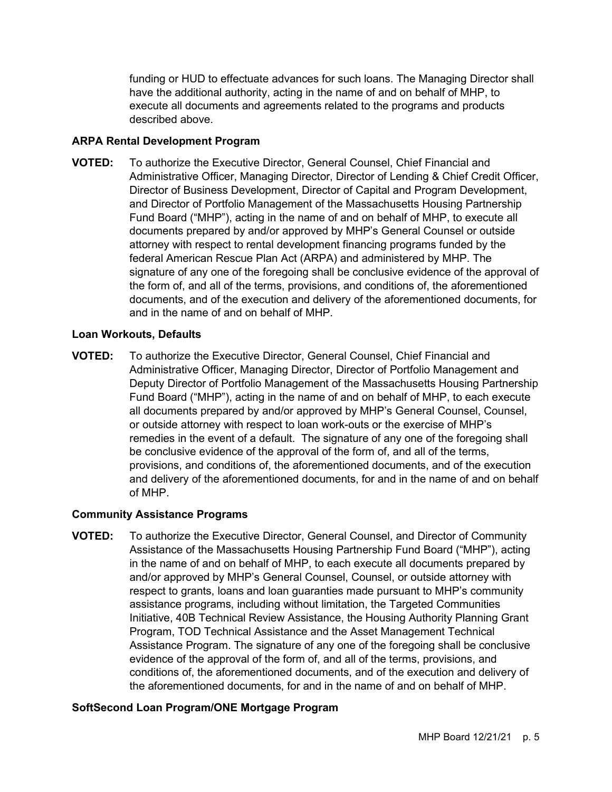funding or HUD to effectuate advances for such loans. The Managing Director shall have the additional authority, acting in the name of and on behalf of MHP, to execute all documents and agreements related to the programs and products described above.

# **ARPA Rental Development Program**

**VOTED:** To authorize the Executive Director, General Counsel, Chief Financial and Administrative Officer, Managing Director, Director of Lending & Chief Credit Officer, Director of Business Development, Director of Capital and Program Development, and Director of Portfolio Management of the Massachusetts Housing Partnership Fund Board ("MHP"), acting in the name of and on behalf of MHP, to execute all documents prepared by and/or approved by MHP's General Counsel or outside attorney with respect to rental development financing programs funded by the federal American Rescue Plan Act (ARPA) and administered by MHP. The signature of any one of the foregoing shall be conclusive evidence of the approval of the form of, and all of the terms, provisions, and conditions of, the aforementioned documents, and of the execution and delivery of the aforementioned documents, for and in the name of and on behalf of MHP.

## **Loan Workouts, Defaults**

**VOTED:** To authorize the Executive Director, General Counsel, Chief Financial and Administrative Officer, Managing Director, Director of Portfolio Management and Deputy Director of Portfolio Management of the Massachusetts Housing Partnership Fund Board ("MHP"), acting in the name of and on behalf of MHP, to each execute all documents prepared by and/or approved by MHP's General Counsel, Counsel, or outside attorney with respect to loan work-outs or the exercise of MHP's remedies in the event of a default. The signature of any one of the foregoing shall be conclusive evidence of the approval of the form of, and all of the terms, provisions, and conditions of, the aforementioned documents, and of the execution and delivery of the aforementioned documents, for and in the name of and on behalf of MHP.

## **Community Assistance Programs**

**VOTED:** To authorize the Executive Director, General Counsel, and Director of Community Assistance of the Massachusetts Housing Partnership Fund Board ("MHP"), acting in the name of and on behalf of MHP, to each execute all documents prepared by and/or approved by MHP's General Counsel, Counsel, or outside attorney with respect to grants, loans and loan guaranties made pursuant to MHP's community assistance programs, including without limitation, the Targeted Communities Initiative, 40B Technical Review Assistance, the Housing Authority Planning Grant Program, TOD Technical Assistance and the Asset Management Technical Assistance Program. The signature of any one of the foregoing shall be conclusive evidence of the approval of the form of, and all of the terms, provisions, and conditions of, the aforementioned documents, and of the execution and delivery of the aforementioned documents, for and in the name of and on behalf of MHP.

# **SoftSecond Loan Program/ONE Mortgage Program**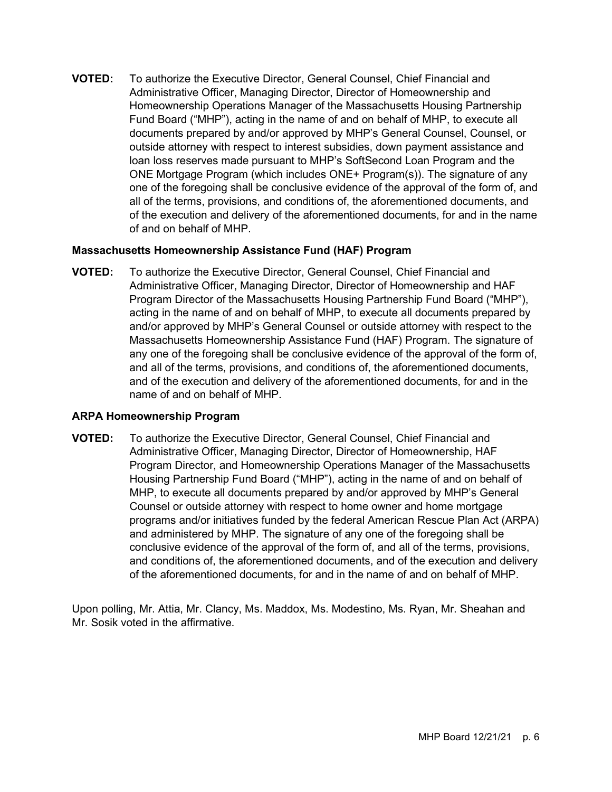**VOTED:** To authorize the Executive Director, General Counsel, Chief Financial and Administrative Officer, Managing Director, Director of Homeownership and Homeownership Operations Manager of the Massachusetts Housing Partnership Fund Board ("MHP"), acting in the name of and on behalf of MHP, to execute all documents prepared by and/or approved by MHP's General Counsel, Counsel, or outside attorney with respect to interest subsidies, down payment assistance and loan loss reserves made pursuant to MHP's SoftSecond Loan Program and the ONE Mortgage Program (which includes ONE+ Program(s)). The signature of any one of the foregoing shall be conclusive evidence of the approval of the form of, and all of the terms, provisions, and conditions of, the aforementioned documents, and of the execution and delivery of the aforementioned documents, for and in the name of and on behalf of MHP.

#### **Massachusetts Homeownership Assistance Fund (HAF) Program**

**VOTED:** To authorize the Executive Director, General Counsel, Chief Financial and Administrative Officer, Managing Director, Director of Homeownership and HAF Program Director of the Massachusetts Housing Partnership Fund Board ("MHP"), acting in the name of and on behalf of MHP, to execute all documents prepared by and/or approved by MHP's General Counsel or outside attorney with respect to the Massachusetts Homeownership Assistance Fund (HAF) Program. The signature of any one of the foregoing shall be conclusive evidence of the approval of the form of, and all of the terms, provisions, and conditions of, the aforementioned documents, and of the execution and delivery of the aforementioned documents, for and in the name of and on behalf of MHP.

## **ARPA Homeownership Program**

**VOTED:** To authorize the Executive Director, General Counsel, Chief Financial and Administrative Officer, Managing Director, Director of Homeownership, HAF Program Director, and Homeownership Operations Manager of the Massachusetts Housing Partnership Fund Board ("MHP"), acting in the name of and on behalf of MHP, to execute all documents prepared by and/or approved by MHP's General Counsel or outside attorney with respect to home owner and home mortgage programs and/or initiatives funded by the federal American Rescue Plan Act (ARPA) and administered by MHP. The signature of any one of the foregoing shall be conclusive evidence of the approval of the form of, and all of the terms, provisions, and conditions of, the aforementioned documents, and of the execution and delivery of the aforementioned documents, for and in the name of and on behalf of MHP.

Upon polling, Mr. Attia, Mr. Clancy, Ms. Maddox, Ms. Modestino, Ms. Ryan, Mr. Sheahan and Mr. Sosik voted in the affirmative.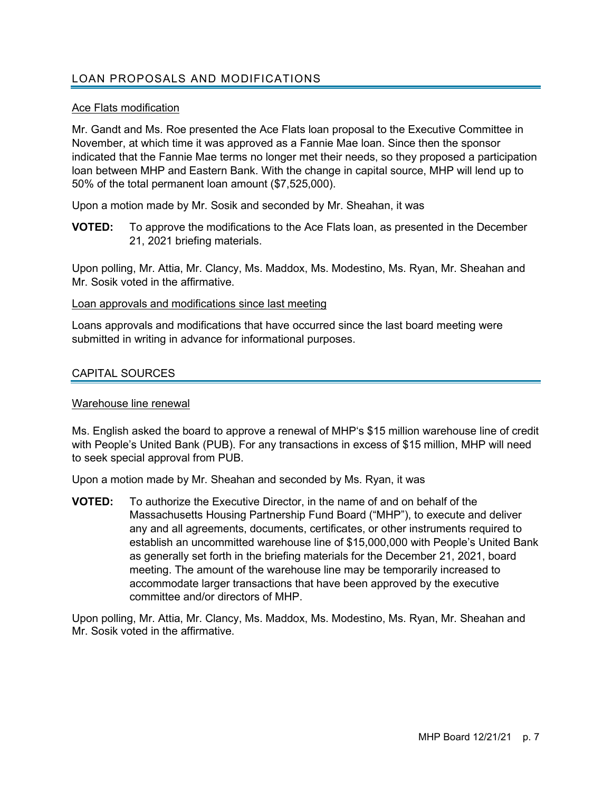# LOAN PROPOSALS AND MODIFICATIONS

## Ace Flats modification

Mr. Gandt and Ms. Roe presented the Ace Flats loan proposal to the Executive Committee in November, at which time it was approved as a Fannie Mae loan. Since then the sponsor indicated that the Fannie Mae terms no longer met their needs, so they proposed a participation loan between MHP and Eastern Bank. With the change in capital source, MHP will lend up to 50% of the total permanent loan amount (\$7,525,000).

Upon a motion made by Mr. Sosik and seconded by Mr. Sheahan, it was

**VOTED:** To approve the modifications to the Ace Flats loan, as presented in the December 21, 2021 briefing materials.

Upon polling, Mr. Attia, Mr. Clancy, Ms. Maddox, Ms. Modestino, Ms. Ryan, Mr. Sheahan and Mr. Sosik voted in the affirmative.

#### Loan approvals and modifications since last meeting

Loans approvals and modifications that have occurred since the last board meeting were submitted in writing in advance for informational purposes.

## CAPITAL SOURCES

#### Warehouse line renewal

Ms. English asked the board to approve a renewal of MHP's \$15 million warehouse line of credit with People's United Bank (PUB). For any transactions in excess of \$15 million, MHP will need to seek special approval from PUB.

Upon a motion made by Mr. Sheahan and seconded by Ms. Ryan, it was

**VOTED:** To authorize the Executive Director, in the name of and on behalf of the Massachusetts Housing Partnership Fund Board ("MHP"), to execute and deliver any and all agreements, documents, certificates, or other instruments required to establish an uncommitted warehouse line of \$15,000,000 with People's United Bank as generally set forth in the briefing materials for the December 21, 2021, board meeting. The amount of the warehouse line may be temporarily increased to accommodate larger transactions that have been approved by the executive committee and/or directors of MHP.

Upon polling, Mr. Attia, Mr. Clancy, Ms. Maddox, Ms. Modestino, Ms. Ryan, Mr. Sheahan and Mr. Sosik voted in the affirmative.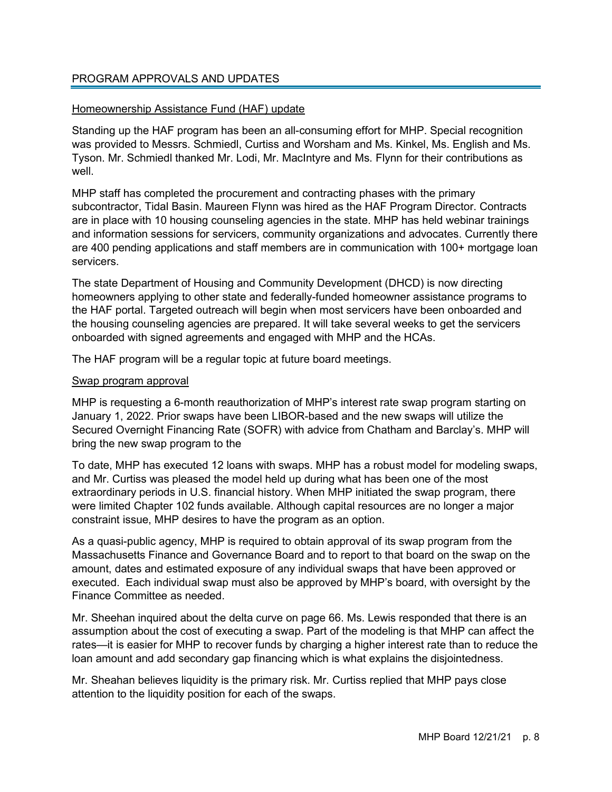## PROGRAM APPROVALS AND UPDATES

#### Homeownership Assistance Fund (HAF) update

Standing up the HAF program has been an all-consuming effort for MHP. Special recognition was provided to Messrs. Schmiedl, Curtiss and Worsham and Ms. Kinkel, Ms. English and Ms. Tyson. Mr. Schmiedl thanked Mr. Lodi, Mr. MacIntyre and Ms. Flynn for their contributions as well.

MHP staff has completed the procurement and contracting phases with the primary subcontractor, Tidal Basin. Maureen Flynn was hired as the HAF Program Director. Contracts are in place with 10 housing counseling agencies in the state. MHP has held webinar trainings and information sessions for servicers, community organizations and advocates. Currently there are 400 pending applications and staff members are in communication with 100+ mortgage loan servicers.

The state Department of Housing and Community Development (DHCD) is now directing homeowners applying to other state and federally-funded homeowner assistance programs to the HAF portal. Targeted outreach will begin when most servicers have been onboarded and the housing counseling agencies are prepared. It will take several weeks to get the servicers onboarded with signed agreements and engaged with MHP and the HCAs.

The HAF program will be a regular topic at future board meetings.

#### Swap program approval

MHP is requesting a 6-month reauthorization of MHP's interest rate swap program starting on January 1, 2022. Prior swaps have been LIBOR-based and the new swaps will utilize the Secured Overnight Financing Rate (SOFR) with advice from Chatham and Barclay's. MHP will bring the new swap program to the

To date, MHP has executed 12 loans with swaps. MHP has a robust model for modeling swaps, and Mr. Curtiss was pleased the model held up during what has been one of the most extraordinary periods in U.S. financial history. When MHP initiated the swap program, there were limited Chapter 102 funds available. Although capital resources are no longer a major constraint issue, MHP desires to have the program as an option.

As a quasi-public agency, MHP is required to obtain approval of its swap program from the Massachusetts Finance and Governance Board and to report to that board on the swap on the amount, dates and estimated exposure of any individual swaps that have been approved or executed. Each individual swap must also be approved by MHP's board, with oversight by the Finance Committee as needed.

Mr. Sheehan inquired about the delta curve on page 66. Ms. Lewis responded that there is an assumption about the cost of executing a swap. Part of the modeling is that MHP can affect the rates—it is easier for MHP to recover funds by charging a higher interest rate than to reduce the loan amount and add secondary gap financing which is what explains the disjointedness.

Mr. Sheahan believes liquidity is the primary risk. Mr. Curtiss replied that MHP pays close attention to the liquidity position for each of the swaps.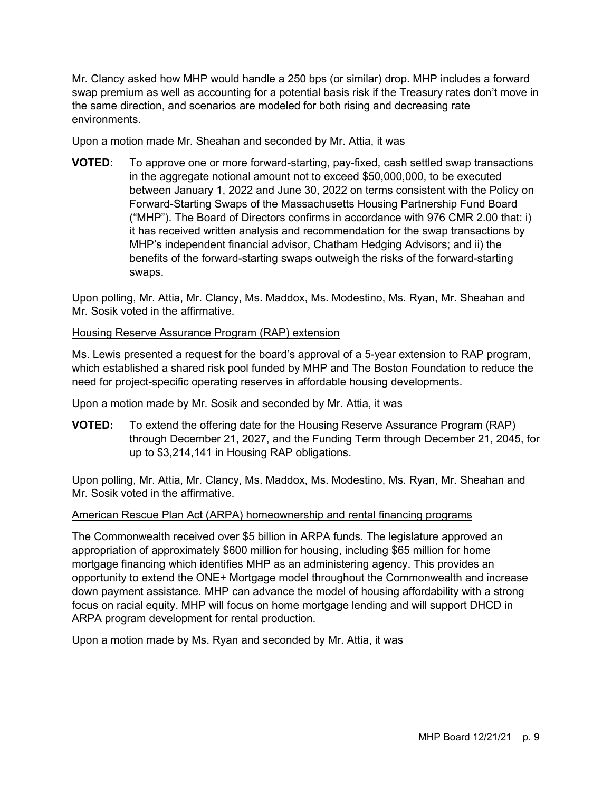Mr. Clancy asked how MHP would handle a 250 bps (or similar) drop. MHP includes a forward swap premium as well as accounting for a potential basis risk if the Treasury rates don't move in the same direction, and scenarios are modeled for both rising and decreasing rate environments.

Upon a motion made Mr. Sheahan and seconded by Mr. Attia, it was

**VOTED:** To approve one or more forward-starting, pay-fixed, cash settled swap transactions in the aggregate notional amount not to exceed \$50,000,000, to be executed between January 1, 2022 and June 30, 2022 on terms consistent with the Policy on Forward-Starting Swaps of the Massachusetts Housing Partnership Fund Board ("MHP"). The Board of Directors confirms in accordance with 976 CMR 2.00 that: i) it has received written analysis and recommendation for the swap transactions by MHP's independent financial advisor, Chatham Hedging Advisors; and ii) the benefits of the forward-starting swaps outweigh the risks of the forward-starting swaps.

Upon polling, Mr. Attia, Mr. Clancy, Ms. Maddox, Ms. Modestino, Ms. Ryan, Mr. Sheahan and Mr. Sosik voted in the affirmative.

## Housing Reserve Assurance Program (RAP) extension

Ms. Lewis presented a request for the board's approval of a 5-year extension to RAP program, which established a shared risk pool funded by MHP and The Boston Foundation to reduce the need for project-specific operating reserves in affordable housing developments.

Upon a motion made by Mr. Sosik and seconded by Mr. Attia, it was

**VOTED:** To extend the offering date for the Housing Reserve Assurance Program (RAP) through December 21, 2027, and the Funding Term through December 21, 2045, for up to \$3,214,141 in Housing RAP obligations.

Upon polling, Mr. Attia, Mr. Clancy, Ms. Maddox, Ms. Modestino, Ms. Ryan, Mr. Sheahan and Mr. Sosik voted in the affirmative.

## American Rescue Plan Act (ARPA) homeownership and rental financing programs

The Commonwealth received over \$5 billion in ARPA funds. The legislature approved an appropriation of approximately \$600 million for housing, including \$65 million for home mortgage financing which identifies MHP as an administering agency. This provides an opportunity to extend the ONE+ Mortgage model throughout the Commonwealth and increase down payment assistance. MHP can advance the model of housing affordability with a strong focus on racial equity. MHP will focus on home mortgage lending and will support DHCD in ARPA program development for rental production.

Upon a motion made by Ms. Ryan and seconded by Mr. Attia, it was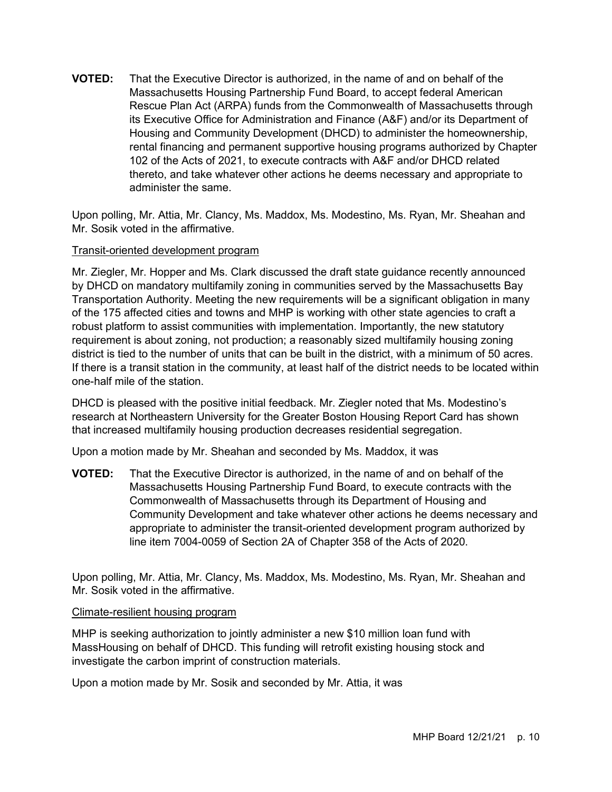**VOTED:** That the Executive Director is authorized, in the name of and on behalf of the Massachusetts Housing Partnership Fund Board, to accept federal American Rescue Plan Act (ARPA) funds from the Commonwealth of Massachusetts through its Executive Office for Administration and Finance (A&F) and/or its Department of Housing and Community Development (DHCD) to administer the homeownership, rental financing and permanent supportive housing programs authorized by Chapter 102 of the Acts of 2021, to execute contracts with A&F and/or DHCD related thereto, and take whatever other actions he deems necessary and appropriate to administer the same.

Upon polling, Mr. Attia, Mr. Clancy, Ms. Maddox, Ms. Modestino, Ms. Ryan, Mr. Sheahan and Mr. Sosik voted in the affirmative.

#### Transit-oriented development program

Mr. Ziegler, Mr. Hopper and Ms. Clark discussed the draft state guidance recently announced by DHCD on mandatory multifamily zoning in communities served by the Massachusetts Bay Transportation Authority. Meeting the new requirements will be a significant obligation in many of the 175 affected cities and towns and MHP is working with other state agencies to craft a robust platform to assist communities with implementation. Importantly, the new statutory requirement is about zoning, not production; a reasonably sized multifamily housing zoning district is tied to the number of units that can be built in the district, with a minimum of 50 acres. If there is a transit station in the community, at least half of the district needs to be located within one-half mile of the station.

DHCD is pleased with the positive initial feedback. Mr. Ziegler noted that Ms. Modestino's research at Northeastern University for the Greater Boston Housing Report Card has shown that increased multifamily housing production decreases residential segregation.

Upon a motion made by Mr. Sheahan and seconded by Ms. Maddox, it was

**VOTED:** That the Executive Director is authorized, in the name of and on behalf of the Massachusetts Housing Partnership Fund Board, to execute contracts with the Commonwealth of Massachusetts through its Department of Housing and Community Development and take whatever other actions he deems necessary and appropriate to administer the transit-oriented development program authorized by line item 7004-0059 of Section 2A of Chapter 358 of the Acts of 2020.

Upon polling, Mr. Attia, Mr. Clancy, Ms. Maddox, Ms. Modestino, Ms. Ryan, Mr. Sheahan and Mr. Sosik voted in the affirmative.

#### Climate-resilient housing program

MHP is seeking authorization to jointly administer a new \$10 million loan fund with MassHousing on behalf of DHCD. This funding will retrofit existing housing stock and investigate the carbon imprint of construction materials.

Upon a motion made by Mr. Sosik and seconded by Mr. Attia, it was